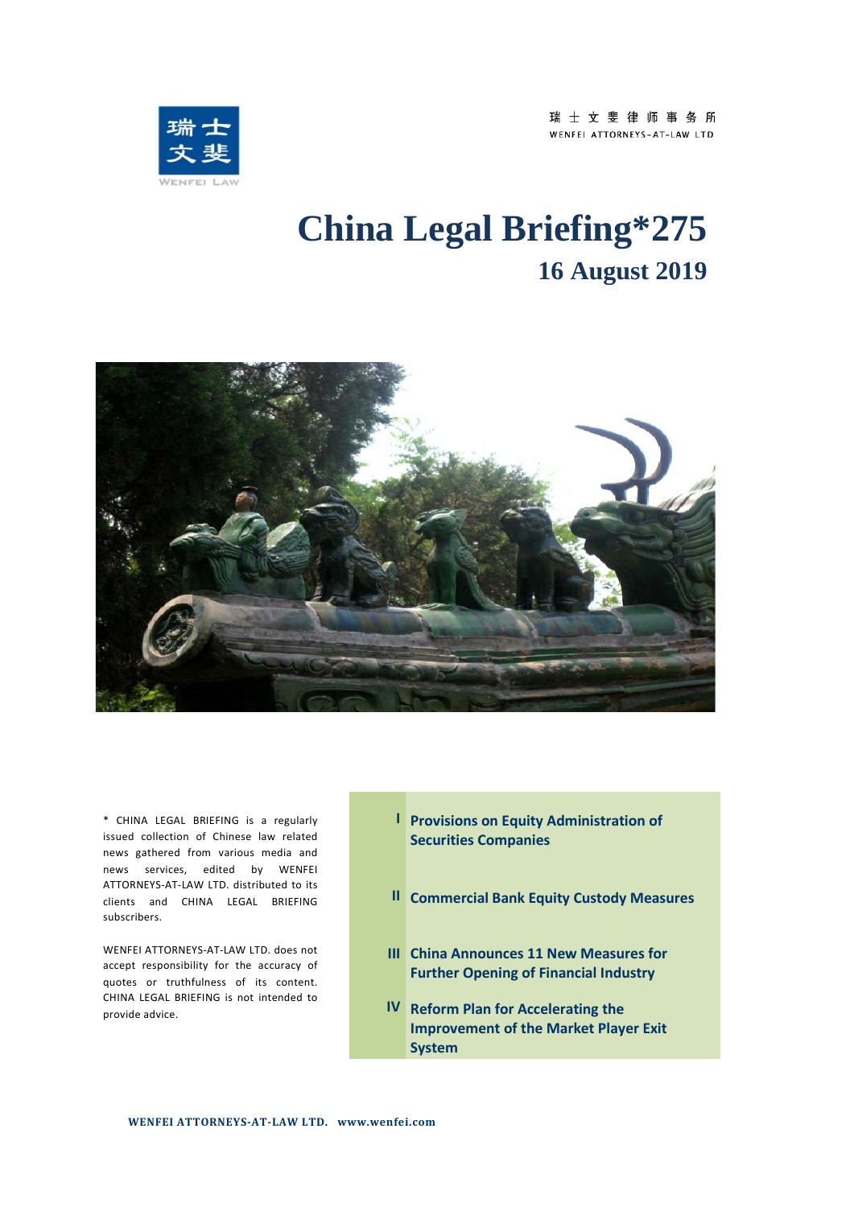

# **China Legal Briefing\*275 16 August 2019**



\* CHINA LEGAL BRIEFING is a regularly issued collection of Chinese law related news gathered from various media and news services, edited by WENFEI ATTORNEYS-AT-LAW LTD. distributed to its clients and CHINA LEGAL BRIEFING subscribers.

WENFEI ATTORNEYS-AT-LAW LTD. does not accept responsibility for the accuracy of quotes or truthfulness of its content. CHINA LEGAL BRIEFING is not intended to provide advice.

- **I Provisions on Equity Administration of Securities Companies**
- **II Commercial Bank Equity Custody Measures**
- **III China Announces 11 New Measures for Further Opening of Financial Industry**
- **IV Reform Plan for Accelerating the Improvement of the Market Player Exit System**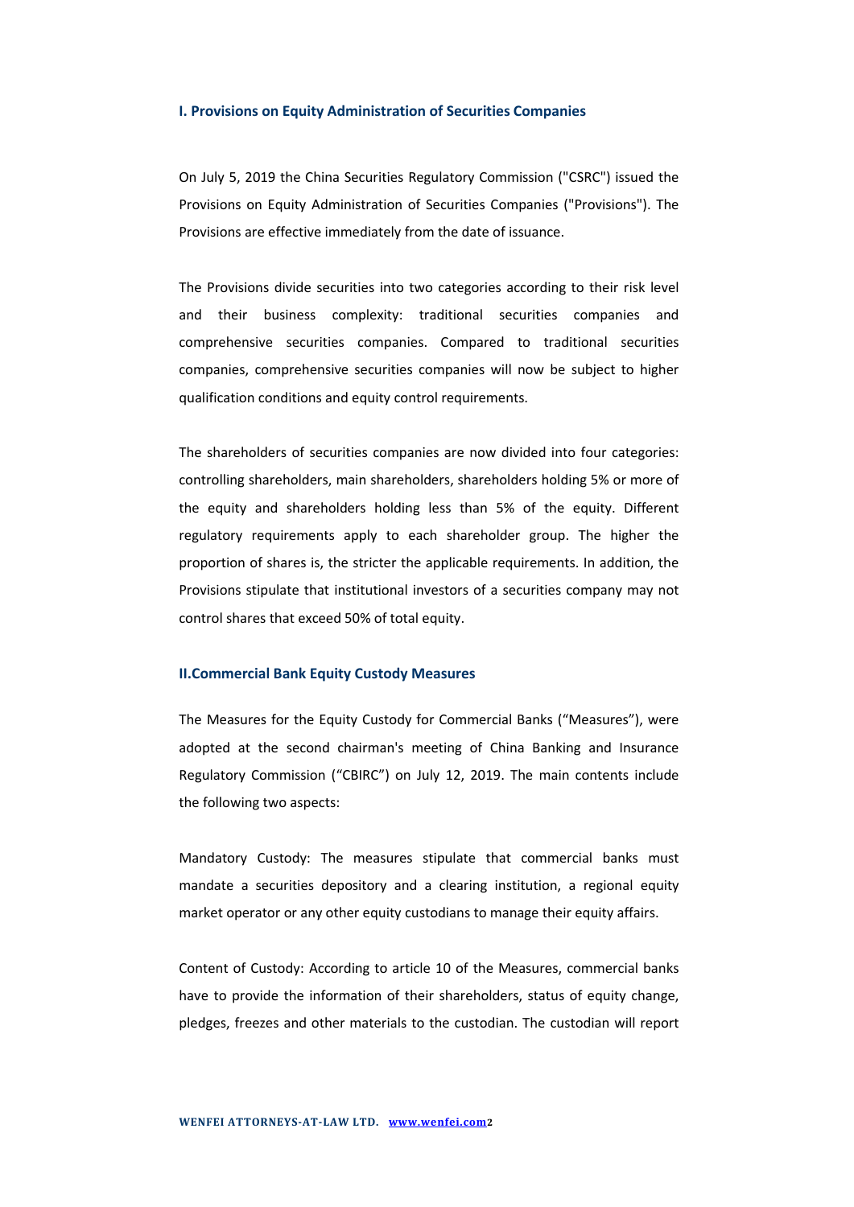#### **I. Provisions on Equity Administration of Securities Companies**

On July 5, 2019 the China Securities Regulatory Commission ("CSRC") issued the Provisions on Equity Administration of Securities Companies ("Provisions"). The Provisions are effective immediately from the date of issuance.

The Provisions divide securities into two categories according to their risk level and their business complexity: traditional securities companies and comprehensive securities companies. Compared to traditional securities companies, comprehensive securities companies will now be subject to higher qualification conditions and equity control requirements.

The shareholders of securities companies are now divided into four categories: controlling shareholders, main shareholders, shareholders holding 5% or more of the equity and shareholders holding less than 5% of the equity. Different regulatory requirements apply to each shareholder group. The higher the proportion of shares is, the stricter the applicable requirements. In addition, the Provisions stipulate that institutional investors of a securities company may not control shares that exceed 50% of total equity.

### **II.Commercial Bank Equity Custody Measures**

The Measures for the Equity Custody for Commercial Banks ("Measures"), were adopted at the second chairman's meeting of China Banking and Insurance Regulatory Commission ("CBIRC") on July 12, 2019. The main contents include the following two aspects:

Mandatory Custody: The measures stipulate that commercial banks must mandate a securities depository and a clearing institution, a regional equity market operator or any other equity custodians to manage their equity affairs.

Content of Custody: According to article 10 of the Measures, commercial banks have to provide the information of their shareholders, status of equity change, pledges, freezes and other materials to the custodian. The custodian will report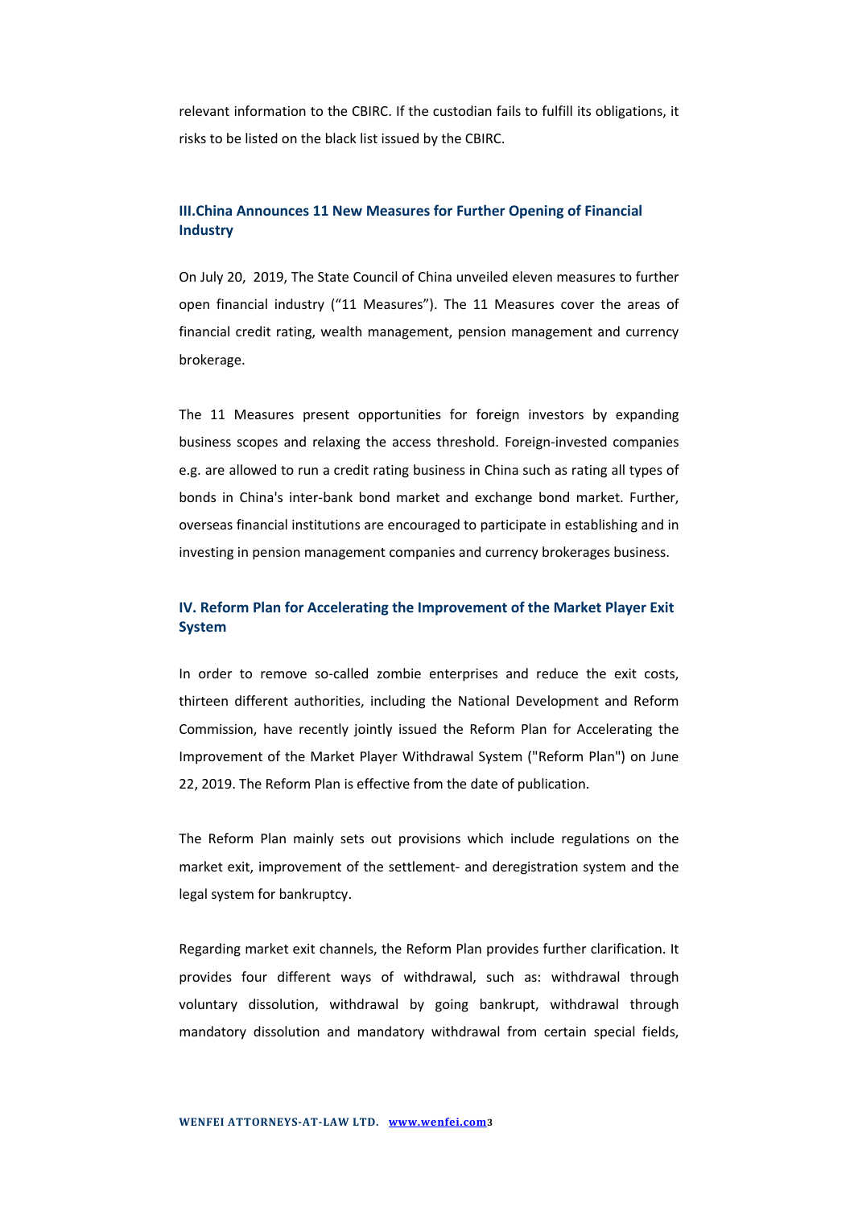relevant information to the CBIRC. If the custodian fails to fulfill its obligations, it risks to be listed on the black list issued by the CBIRC.

## **III.China Announces 11 New Measures for Further Opening of Financial Industry**

On July 20, 2019, The State Council of China unveiled eleven measures to further open financial industry ("11 Measures"). The 11 Measures cover the areas of financial credit rating, wealth management, pension management and currency brokerage.

The 11 Measures present opportunities for foreign investors by expanding business scopes and relaxing the access threshold. Foreign-invested companies e.g. are allowed to run a credit rating business in China such as rating all types of bonds in China's inter-bank bond market and exchange bond market. Further, overseas financial institutions are encouraged to participate in establishing and in investing in pension management companies and currency brokerages business.

## **IV. Reform Plan for Accelerating the Improvement of the Market Player Exit System**

In order to remove so-called zombie enterprises and reduce the exit costs, thirteen different authorities, including the National Development and Reform Commission, have recently jointly issued the Reform Plan for Accelerating the Improvement of the Market Player Withdrawal System ("Reform Plan") on June 22, 2019. The Reform Plan is effective from the date of publication.

The Reform Plan mainly sets out provisions which include regulations on the market exit, improvement of the settlement- and deregistration system and the legal system for bankruptcy.

Regarding market exit channels, the Reform Plan provides further clarification. It provides four different ways of withdrawal, such as: withdrawal through voluntary dissolution, withdrawal by going bankrupt, withdrawal through mandatory dissolution and mandatory withdrawal from certain special fields,